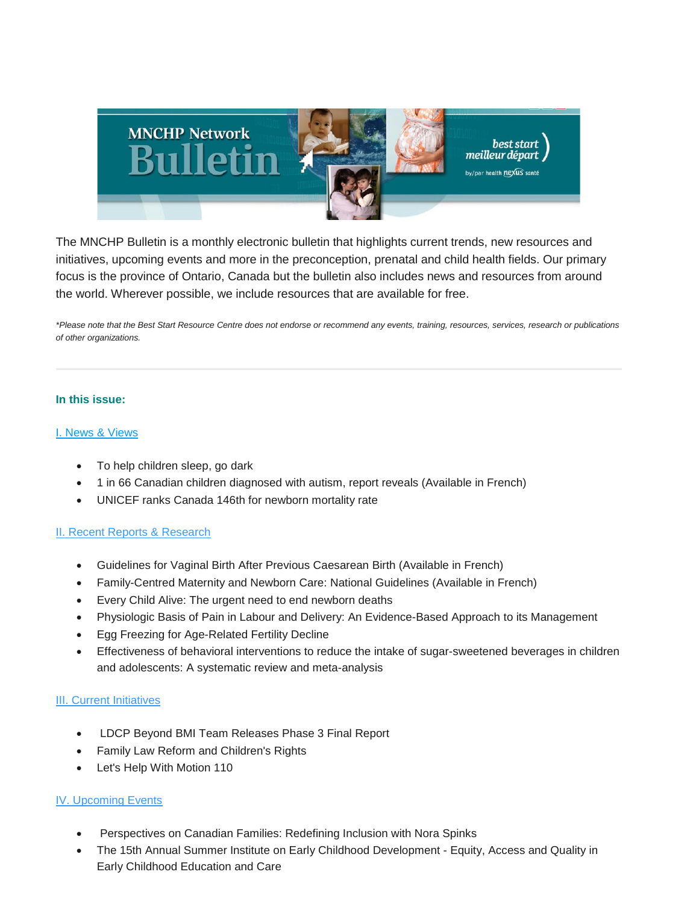

The MNCHP Bulletin is a monthly electronic bulletin that highlights current trends, new resources and initiatives, upcoming events and more in the preconception, prenatal and child health fields. Our primary focus is the province of Ontario, Canada but the bulletin also includes news and resources from around the world. Wherever possible, we include resources that are available for free.

*\*Please note that the Best Start Resource Centre does not endorse or recommend any events, training, resources, services, research or publications of other organizations.*

#### **In this issue:**

#### [I. News & Views](#page-1-0)

- To help children sleep, go dark
- 1 in 66 Canadian children diagnosed with autism, report reveals (Available in French)
- UNICEF ranks Canada 146th for newborn mortality rate

#### [II. Recent Reports & Research](#page-1-1)

- Guidelines for Vaginal Birth After Previous Caesarean Birth (Available in French)
- Family-Centred Maternity and Newborn Care: National Guidelines (Available in French)
- Every Child Alive: The urgent need to end newborn deaths
- Physiologic Basis of Pain in Labour and Delivery: An Evidence-Based Approach to its Management
- Egg Freezing for Age-Related Fertility Decline
- Effectiveness of behavioral interventions to reduce the intake of sugar-sweetened beverages in children and adolescents: A systematic review and meta-analysis

#### [III. Current Initiatives](#page-5-0)

- LDCP Beyond BMI Team Releases Phase 3 Final Report
- Family Law Reform and Children's Rights
- Let's Help With Motion 110

#### [IV. Upcoming Events](#page-6-0)

- Perspectives on Canadian Families: Redefining Inclusion with Nora Spinks
- The 15th Annual Summer Institute on Early Childhood Development Equity, Access and Quality in Early Childhood Education and Care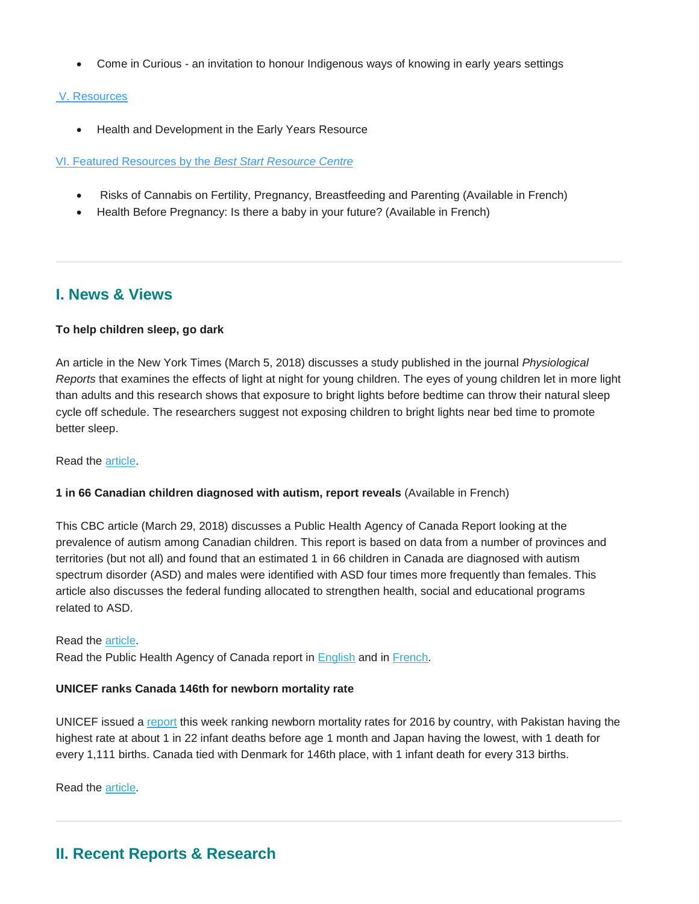• Come in Curious - an invitation to honour Indigenous ways of knowing in early years settings

#### [V. Resources](#page-7-0)

• Health and Development in the Early Years Resource

#### [VI. Featured Resources by the](#page-8-0) *Best Start Resource Centre*

- Risks of Cannabis on Fertility, Pregnancy, Breastfeeding and Parenting (Available in French)
- Health Before Pregnancy: Is there a baby in your future? (Available in French)

# <span id="page-1-0"></span>**I. News & Views**

#### **To help children sleep, go dark**

An article in the New York Times (March 5, 2018) discusses a study published in the journal *Physiological Reports* that examines the effects of light at night for young children. The eyes of young children let in more light than adults and this research shows that exposure to bright lights before bedtime can throw their natural sleep cycle off schedule. The researchers suggest not exposing children to bright lights near bed time to promote better sleep.

Read the [article.](https://www.nytimes.com/2018/03/05/well/family/children-sleep-light-melatonin.html?rref=collection%2Fcolumn%2Fthe-checkup)

#### **1 in 66 Canadian children diagnosed with autism, report reveals** (Available in French)

This CBC article (March 29, 2018) discusses a Public Health Agency of Canada Report looking at the prevalence of autism among Canadian children. This report is based on data from a number of provinces and territories (but not all) and found that an estimated 1 in 66 children in Canada are diagnosed with autism spectrum disorder (ASD) and males were identified with ASD four times more frequently than females. This article also discusses the federal funding allocated to strengthen health, social and educational programs related to ASD.

Read the [article.](http://www.cbc.ca/news/health/autism-spectrum-disorder-public-health-agency-of-canada-1.4598859) Read the Public Health Agency of Canada report in [English](https://www.canada.ca/en/public-health/services/publications/diseases-conditions/autism-spectrum-disorder-children-youth-canada-2018.html) and in [French.](https://www.canada.ca/fr/sante-publique/services/publications/maladies-et-affections/trouble-spectre-autisme-enfants-adolescents-canada-2018.html) 

#### **UNICEF ranks Canada 146th for newborn mortality rate**

UNICEF issued a [report](http://r.smartbrief.com/resp/jOxJCAxebHDbqKtVCievavCicNSzKN) this week ranking newborn mortality rates for 2016 by country, with Pakistan having the highest rate at about 1 in 22 infant deaths before age 1 month and Japan having the lowest, with 1 death for every 1,111 births. Canada tied with Denmark for 146th place, with 1 infant death for every 313 births.

<span id="page-1-1"></span>Read the [article.](http://r.smartbrief.com/resp/jOxJCAxebHDbqKtUCievavCicNPaEa?format=standard)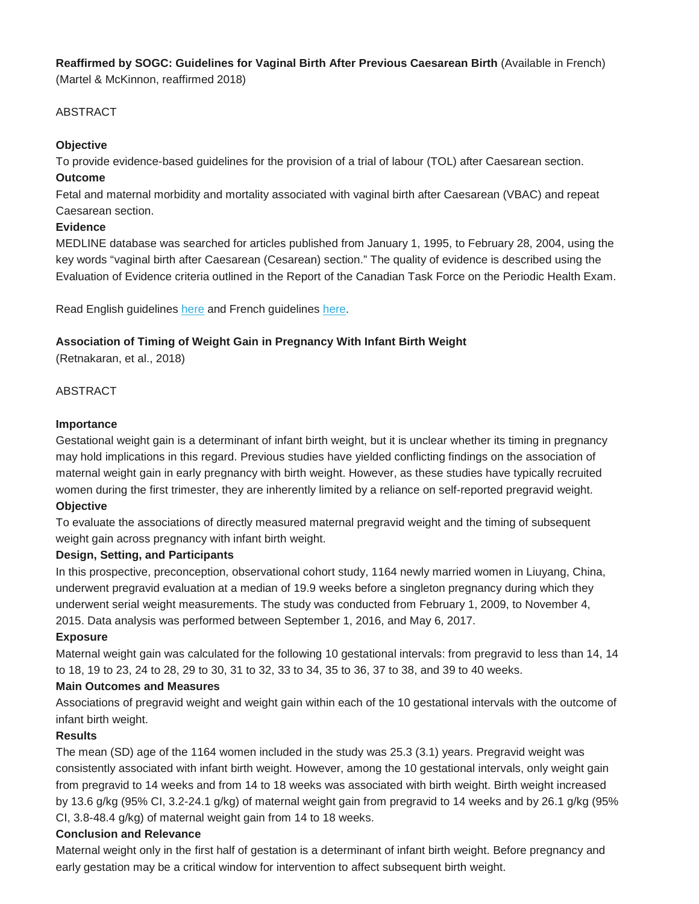# **Reaffirmed by SOGC: Guidelines for Vaginal Birth After Previous Caesarean Birth** (Available in French)

(Martel & McKinnon, reaffirmed 2018)

# ABSTRACT

# **Objective**

To provide evidence-based guidelines for the provision of a trial of labour (TOL) after Caesarean section.

# **Outcome**

Fetal and maternal morbidity and mortality associated with vaginal birth after Caesarean (VBAC) and repeat Caesarean section.

# **Evidence**

MEDLINE database was searched for articles published from January 1, 1995, to February 28, 2004, using the key words "vaginal birth after Caesarean (Cesarean) section." The quality of evidence is described using the Evaluation of Evidence criteria outlined in the Report of the Canadian Task Force on the Periodic Health Exam.

Read English guidelines [here](http://www.jogc.com/article/S1701-2163(18)30013-6/abstract?%7b$trackingTag%7d&elsca2=email&elsca3=1701-2163_201803_40_3_&elsca4=Obstetrics%20and%20Gynecology) and French guidelines [here.](http://www.jogc.com/article/S1701-2163(18)30014-8/abstract?%7b$trackingTag%7d&elsca2=email&elsca3=1701-2163_201803_40_3_&elsca4=Obstetrics%20and%20Gynecology)

# **Association of Timing of Weight Gain in Pregnancy With Infant Birth Weight**

(Retnakaran, et al., 2018)

# ABSTRACT

# **Importance**

Gestational weight gain is a determinant of infant birth weight, but it is unclear whether its timing in pregnancy may hold implications in this regard. Previous studies have yielded conflicting findings on the association of maternal weight gain in early pregnancy with birth weight. However, as these studies have typically recruited women during the first trimester, they are inherently limited by a reliance on self-reported pregravid weight. **Objective**

To evaluate the associations of directly measured maternal pregravid weight and the timing of subsequent weight gain across pregnancy with infant birth weight.

# **Design, Setting, and Participants**

In this prospective, preconception, observational cohort study, 1164 newly married women in Liuyang, China, underwent pregravid evaluation at a median of 19.9 weeks before a singleton pregnancy during which they underwent serial weight measurements. The study was conducted from February 1, 2009, to November 4, 2015. Data analysis was performed between September 1, 2016, and May 6, 2017.

# **Exposure**

Maternal weight gain was calculated for the following 10 gestational intervals: from pregravid to less than 14, 14 to 18, 19 to 23, 24 to 28, 29 to 30, 31 to 32, 33 to 34, 35 to 36, 37 to 38, and 39 to 40 weeks.

# **Main Outcomes and Measures**

Associations of pregravid weight and weight gain within each of the 10 gestational intervals with the outcome of infant birth weight.

# **Results**

The mean (SD) age of the 1164 women included in the study was 25.3 (3.1) years. Pregravid weight was consistently associated with infant birth weight. However, among the 10 gestational intervals, only weight gain from pregravid to 14 weeks and from 14 to 18 weeks was associated with birth weight. Birth weight increased by 13.6 g/kg (95% CI, 3.2-24.1 g/kg) of maternal weight gain from pregravid to 14 weeks and by 26.1 g/kg (95% CI, 3.8-48.4 g/kg) of maternal weight gain from 14 to 18 weeks.

# **Conclusion and Relevance**

Maternal weight only in the first half of gestation is a determinant of infant birth weight. Before pregnancy and early gestation may be a critical window for intervention to affect subsequent birth weight.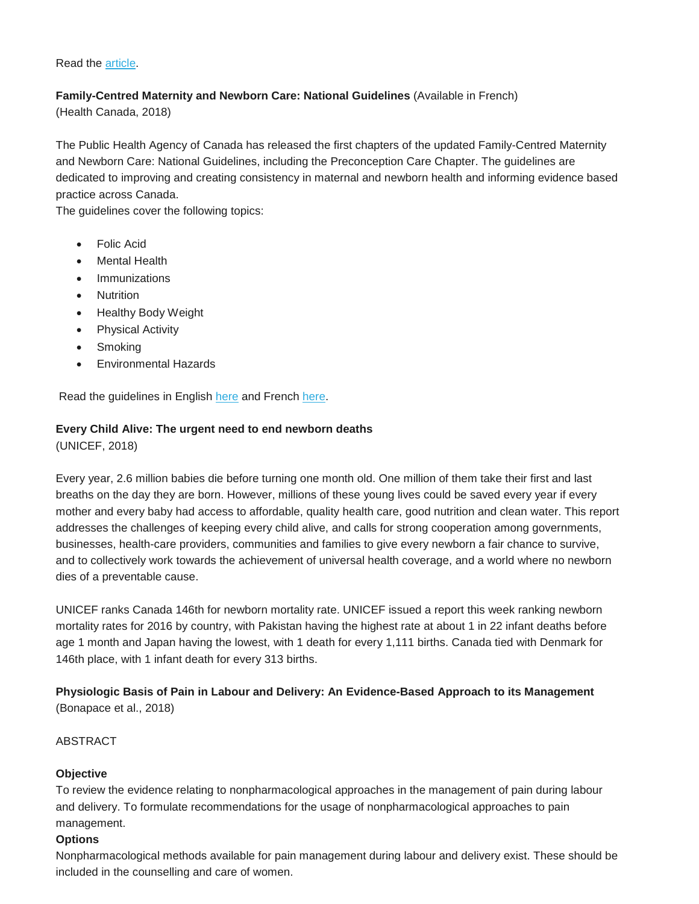#### Read the [article.](https://jamanetwork.com/journals/jamapediatrics/article-abstract/2666778?redirect=true)

#### **Family-Centred Maternity and Newborn Care: National Guidelines** (Available in French)

(Health Canada, 2018)

The Public Health Agency of Canada has released the first chapters of the updated Family-Centred Maternity and Newborn Care: National Guidelines, including the Preconception Care Chapter. The guidelines are dedicated to improving and creating consistency in maternal and newborn health and informing evidence based practice across Canada.

The guidelines cover the following topics:

- Folic Acid
- Mental Health
- Immunizations
- **Nutrition**
- Healthy Body Weight
- Physical Activity
- Smoking
- Environmental Hazards

Read the guidelines in English [here](https://www.canada.ca/en/public-health/services/publications/healthy-living/maternity-newborn-care-guidelines-chapter-2.html) and French [here.](https://www.canada.ca/fr/sante-publique/services/publications/vie-saine/soins-meres-nouveau-ne-lignes-directrices-nationales-chapitre-2.html)

# **Every Child Alive: The urgent need to end newborn deaths**

(UNICEF, 2018)

Every year, 2.6 million babies die before turning one month old. One million of them take their first and last breaths on the day they are born. However, millions of these young lives could be saved every year if every mother and every baby had access to affordable, quality health care, good nutrition and clean water. This report addresses the challenges of keeping every child alive, and calls for strong cooperation among governments, businesses, health-care providers, communities and families to give every newborn a fair chance to survive, and to collectively work towards the achievement of universal health coverage, and a world where no newborn dies of a preventable cause.

UNICEF ranks Canada 146th for newborn mortality rate. UNICEF issued a report this week ranking newborn mortality rates for 2016 by country, with Pakistan having the highest rate at about 1 in 22 infant deaths before age 1 month and Japan having the lowest, with 1 death for every 1,111 births. Canada tied with Denmark for 146th place, with 1 infant death for every 313 births.

**Physiologic Basis of Pain in Labour and Delivery: An Evidence-Based Approach to its Management**  (Bonapace et al., 2018)

# ABSTRACT

#### **Objective**

To review the evidence relating to nonpharmacological approaches in the management of pain during labour and delivery. To formulate recommendations for the usage of nonpharmacological approaches to pain management.

#### **Options**

Nonpharmacological methods available for pain management during labour and delivery exist. These should be included in the counselling and care of women.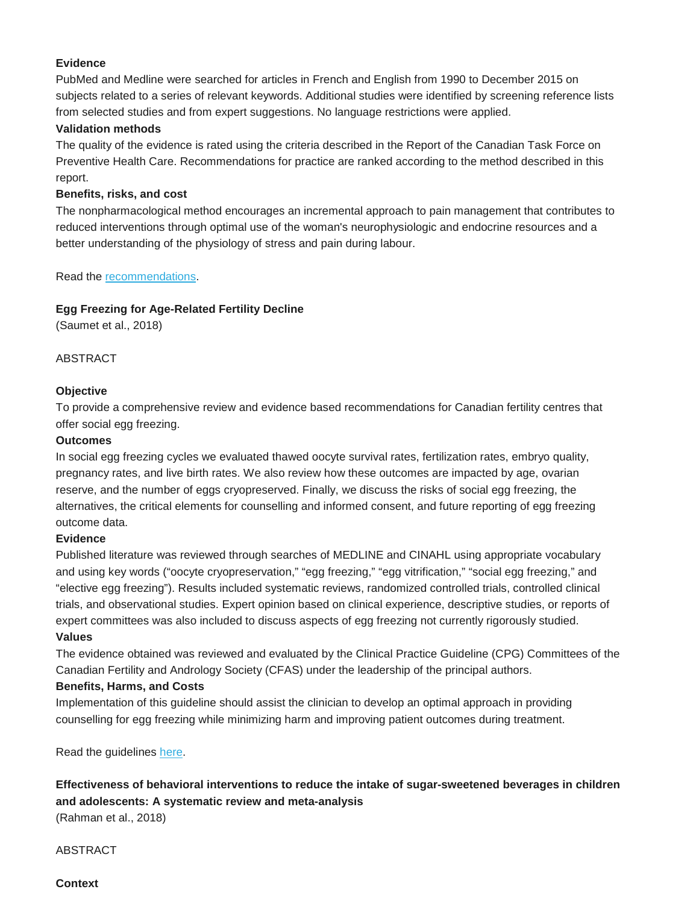#### **Evidence**

PubMed and Medline were searched for articles in French and English from 1990 to December 2015 on subjects related to a series of relevant keywords. Additional studies were identified by screening reference lists from selected studies and from expert suggestions. No language restrictions were applied.

#### **Validation methods**

The quality of the evidence is rated using the criteria described in the Report of the Canadian Task Force on Preventive Health Care. Recommendations for practice are ranked according to the method described in this report.

#### **Benefits, risks, and cost**

The nonpharmacological method encourages an incremental approach to pain management that contributes to reduced interventions through optimal use of the woman's neurophysiologic and endocrine resources and a better understanding of the physiology of stress and pain during labour.

Read the [recommendations.](http://www.jogc.com/article/S1701-2163(17)30799-5/abstract)

# **Egg Freezing for Age-Related Fertility Decline**

(Saumet et al., 2018)

#### ABSTRACT

#### **Objective**

To provide a comprehensive review and evidence based recommendations for Canadian fertility centres that offer social egg freezing.

#### **Outcomes**

In social egg freezing cycles we evaluated thawed oocyte survival rates, fertilization rates, embryo quality, pregnancy rates, and live birth rates. We also review how these outcomes are impacted by age, ovarian reserve, and the number of eggs cryopreserved. Finally, we discuss the risks of social egg freezing, the alternatives, the critical elements for counselling and informed consent, and future reporting of egg freezing outcome data.

#### **Evidence**

Published literature was reviewed through searches of MEDLINE and CINAHL using appropriate vocabulary and using key words ("oocyte cryopreservation," "egg freezing," "egg vitrification," "social egg freezing," and "elective egg freezing"). Results included systematic reviews, randomized controlled trials, controlled clinical trials, and observational studies. Expert opinion based on clinical experience, descriptive studies, or reports of expert committees was also included to discuss aspects of egg freezing not currently rigorously studied. **Values**

The evidence obtained was reviewed and evaluated by the Clinical Practice Guideline (CPG) Committees of the Canadian Fertility and Andrology Society (CFAS) under the leadership of the principal authors.

#### **Benefits, Harms, and Costs**

Implementation of this guideline should assist the clinician to develop an optimal approach in providing counselling for egg freezing while minimizing harm and improving patient outcomes during treatment.

Read the guidelines [here.](https://www.ncbi.nlm.nih.gov/pubmed/29223749)

# **Effectiveness of behavioral interventions to reduce the intake of sugar-sweetened beverages in children and adolescents: A systematic review and meta-analysis**

(Rahman et al., 2018)

ABSTRACT

#### **Context**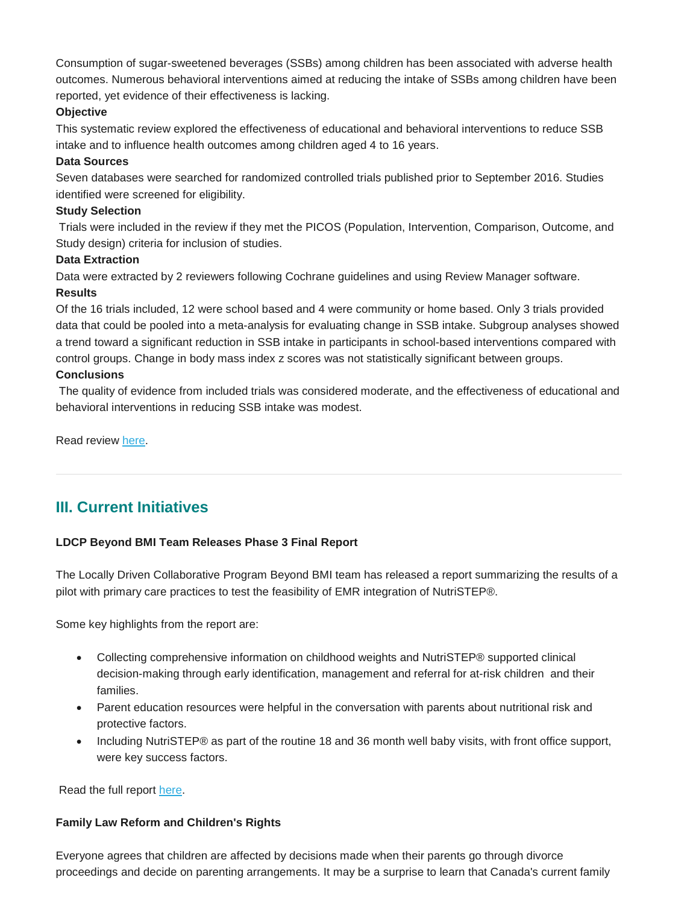Consumption of sugar-sweetened beverages (SSBs) among children has been associated with adverse health outcomes. Numerous behavioral interventions aimed at reducing the intake of SSBs among children have been reported, yet evidence of their effectiveness is lacking.

#### **Objective**

This systematic review explored the effectiveness of educational and behavioral interventions to reduce SSB intake and to influence health outcomes among children aged 4 to 16 years.

#### **Data Sources**

Seven databases were searched for randomized controlled trials published prior to September 2016. Studies identified were screened for eligibility.

#### **Study Selection**

Trials were included in the review if they met the PICOS (Population, Intervention, Comparison, Outcome, and Study design) criteria for inclusion of studies.

#### **Data Extraction**

Data were extracted by 2 reviewers following Cochrane guidelines and using Review Manager software. **Results**

Of the 16 trials included, 12 were school based and 4 were community or home based. Only 3 trials provided data that could be pooled into a meta-analysis for evaluating change in SSB intake. Subgroup analyses showed a trend toward a significant reduction in SSB intake in participants in school-based interventions compared with control groups. Change in body mass index z scores was not statistically significant between groups.

#### **Conclusions**

The quality of evidence from included trials was considered moderate, and the effectiveness of educational and behavioral interventions in reducing SSB intake was modest.

Read review [here.](https://www.healthevidence.org/view-article.aspx?a=effectiveness-behavioral-interventions-reduce-intake-sugar-sweetened-beverages-33200) 

# <span id="page-5-0"></span>**III. Current Initiatives**

#### **LDCP Beyond BMI Team Releases Phase 3 Final Report**

The Locally Driven Collaborative Program Beyond BMI team has released a report summarizing the results of a pilot with primary care practices to test the feasibility of EMR integration of NutriSTEP®.

Some key highlights from the report are:

- Collecting comprehensive information on childhood weights and NutriSTEP® supported clinical decision-making through early identification, management and referral for at-risk children and their families.
- Parent education resources were helpful in the conversation with parents about nutritional risk and protective factors.
- Including NutriSTEP® as part of the routine 18 and 36 month well baby visits, with front office support, were key success factors.

Read the full report [here.](https://www.publichealthontario.ca/en/ServicesAndTools/Documents/LDCP/Beyond%20BMI%20Phase%203%20Final%20Report%2017%20Jan%202018.pdf)

#### **Family Law Reform and Children's Rights**

Everyone agrees that children are affected by decisions made when their parents go through divorce proceedings and decide on parenting arrangements. It may be a surprise to learn that Canada's current family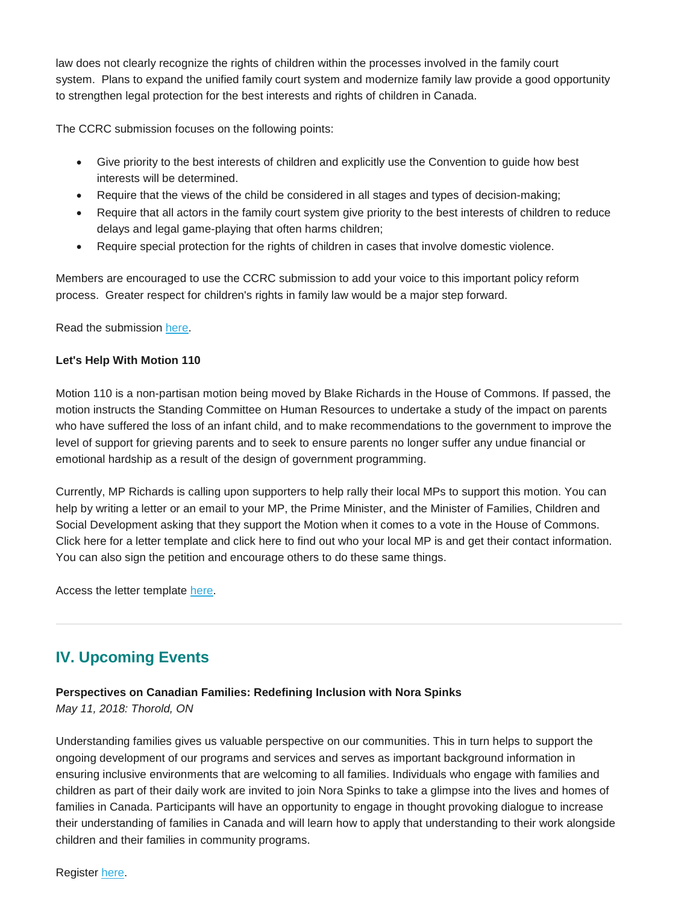law does not clearly recognize the rights of children within the processes involved in the family court system. Plans to expand the unified family court system and modernize family law provide a good opportunity to strengthen legal protection for the best interests and rights of children in Canada.

The CCRC submission focuses on the following points:

- Give priority to the best interests of children and explicitly use the Convention to guide how best interests will be determined.
- Require that the views of the child be considered in all stages and types of decision-making;
- Require that all actors in the family court system give priority to the best interests of children to reduce delays and legal game-playing that often harms children;
- Require special protection for the rights of children in cases that involve domestic violence.

Members are encouraged to use the CCRC submission to add your voice to this important policy reform process. Greater respect for children's rights in family law would be a major step forward.

Read the submission [here.](http://rightsofchildren.ca/wp-content/uploads/2018/03/Childrens-Rights-and-Family-Law-Reform-CCRC-Submission-1.pdf)

#### **Let's Help With Motion 110**

Motion 110 is a non-partisan motion being moved by Blake Richards in the House of Commons. If passed, the motion instructs the Standing Committee on Human Resources to undertake a study of the impact on parents who have suffered the loss of an infant child, and to make recommendations to the government to improve the level of support for grieving parents and to seek to ensure parents no longer suffer any undue financial or emotional hardship as a result of the design of government programming.

Currently, MP Richards is calling upon supporters to help rally their local MPs to support this motion. You can help by writing a letter or an email to your MP, the Prime Minister, and the Minister of Families, Children and Social Development asking that they support the Motion when it comes to a vote in the House of Commons. Click here for a letter template and click here to find out who your local MP is and get their contact information. You can also sign the petition and encourage others to do these same things.

Access the letter template [here.](http://www.blakerichards.ca/motion-110/motion-110-write-to-your-mp/)

# <span id="page-6-0"></span>**IV. Upcoming Events**

# **Perspectives on Canadian Families: Redefining Inclusion with Nora Spinks**

*May 11, 2018: Thorold, ON*

Understanding families gives us valuable perspective on our communities. This in turn helps to support the ongoing development of our programs and services and serves as important background information in ensuring inclusive environments that are welcoming to all families. Individuals who engage with families and children as part of their daily work are invited to join Nora Spinks to take a glimpse into the lives and homes of families in Canada. Participants will have an opportunity to engage in thought provoking dialogue to increase their understanding of families in Canada and will learn how to apply that understanding to their work alongside children and their families in community programs.

Register [here.](https://eccdc.org/wp-content/uploads/2018/03/perspectives-on-cdn-families_nora_spinks_may11-2018.pdf)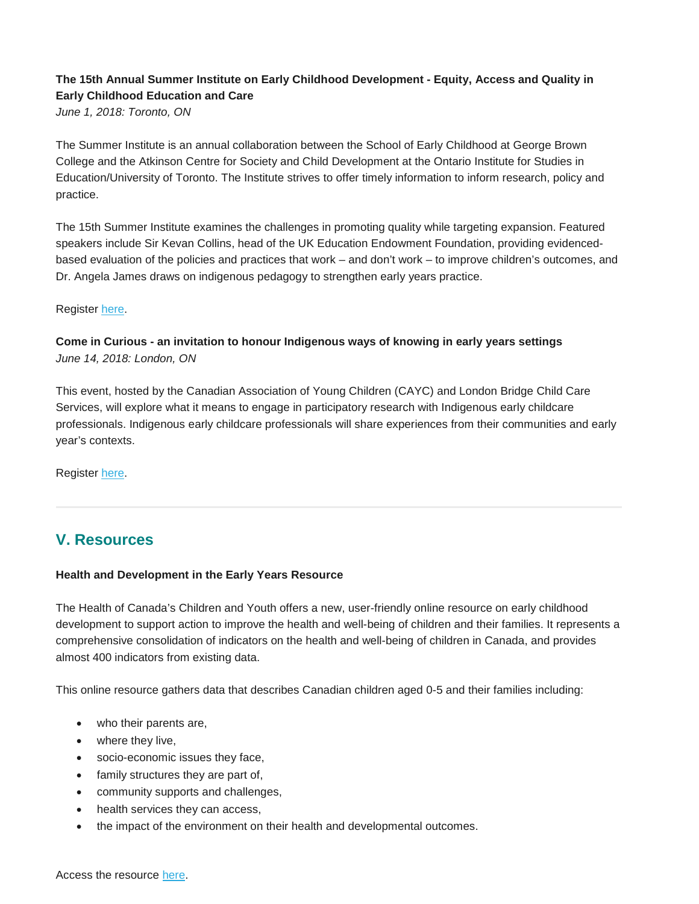# **The 15th Annual Summer Institute on Early Childhood Development - Equity, Access and Quality in Early Childhood Education and Care**

*June 1, 2018: Toronto, ON*

The Summer Institute is an annual collaboration between the School of Early Childhood at George Brown College and the Atkinson Centre for Society and Child Development at the Ontario Institute for Studies in Education/University of Toronto. The Institute strives to offer timely information to inform research, policy and practice.

The 15th Summer Institute examines the challenges in promoting quality while targeting expansion. Featured speakers include Sir Kevan Collins, head of the UK Education Endowment Foundation, providing evidencedbased evaluation of the policies and practices that work – and don't work – to improve children's outcomes, and Dr. Angela James draws on indigenous pedagogy to strengthen early years practice.

#### Register [here.](http://www.oise.utoronto.ca/atkinson/Events/2018_Events/Summer_Institute_2018/index.html)

**Come in Curious - an invitation to honour Indigenous ways of knowing in early years settings** *June 14, 2018: London, ON* 

This event, hosted by the Canadian Association of Young Children (CAYC) and London Bridge Child Care Services, will explore what it means to engage in participatory research with Indigenous early childcare professionals. Indigenous early childcare professionals will share experiences from their communities and early year's contexts.

Register [here.](https://gallery.mailchimp.com/a1306452cb9293f4d8406bf6d/files/f6bd8678-600e-4dec-b058-11c32bad3067/CAYC_conference_flyer.pdf)

# <span id="page-7-0"></span>**V. Resources**

#### **Health and Development in the Early Years Resource**

The Health of Canada's Children and Youth offers a new, user-friendly online resource on early childhood development to support action to improve the health and well-being of children and their families. It represents a comprehensive consolidation of indicators on the health and well-being of children in Canada, and provides almost 400 indicators from existing data.

This online resource gathers data that describes Canadian children aged 0-5 and their families including:

- who their parents are,
- where they live,
- socio-economic issues they face,
- family structures they are part of,
- community supports and challenges,
- health services they can access,
- the impact of the environment on their health and developmental outcomes.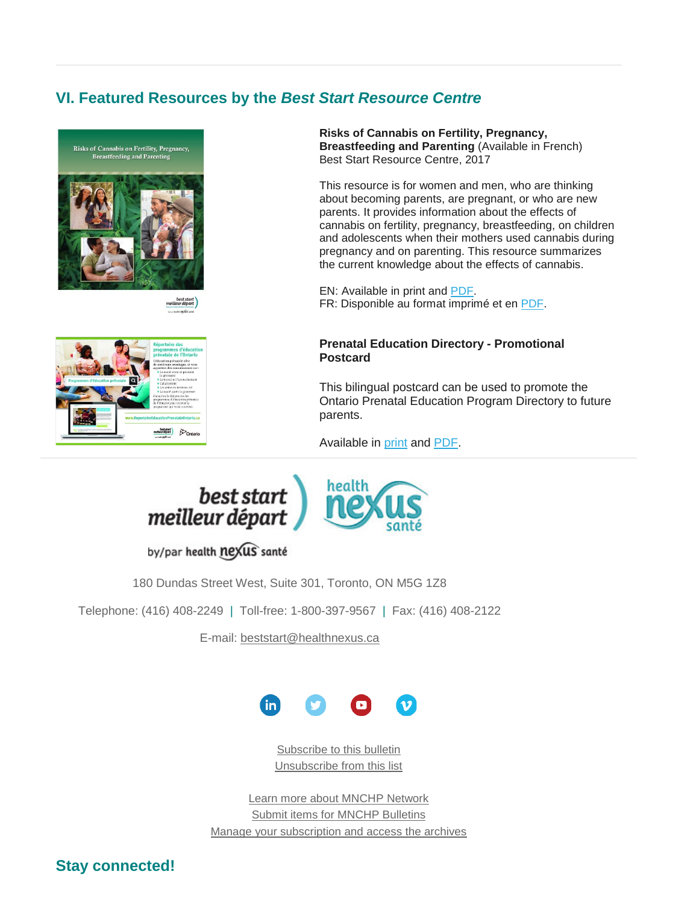# <span id="page-8-0"></span>**VI. Featured Resources by the** *Best Start Resource Centre*





**Risks of Cannabis on Fertility, Pregnancy, Breastfeeding and Parenting** (Available in French) Best Start Resource Centre, 2017

This resource is for women and men, who are thinking about becoming parents, are pregnant, or who are new parents. It provides information about the effects of cannabis on fertility, pregnancy, breastfeeding, on children and adolescents when their mothers used cannabis during pregnancy and on parenting. This resource summarizes the current knowledge about the effects of cannabis.

EN: Available in print and [PDF.](https://www.beststart.org/resources/alc_reduction/RisksOfCannabis_A30-E.pdf) FR: Disponible au format imprimé et en [PDF.](https://www.beststart.org/resources/alc_reduction/LesRisquesDuCannabis_A30-F.pdf)

#### **Prenatal Education Directory - Promotional Postcard**

This bilingual postcard can be used to promote the Ontario Prenatal Education Program Directory to future parents.

Available in [print](https://www.beststart.org/cgi-bin/commerce.cgi?preadd=action&key=E44-B) and [PDF.](https://www.beststart.org/resources/rep_health/pdf/E44-B_PrenatalEdDirectory_Postcard.pdf)



by/par health nexus santé

180 Dundas Street West, Suite 301, Toronto, ON M5G 1Z8

Telephone: (416) 408-2249 | Toll-free: 1-800-397-9567 | Fax: (416) 408-2122

E-mail: [beststart@healthnexus.ca](mailto:beststart@healthnexus.ca?subject=Contact%20Us)



[Subscribe to this bulletin](mailto:mnchp@healthnexus.ca?subject=Subscribe%20to%20MNCHP%20bulletin%20and%20network) [Unsubscribe from this list](mailto:mnchp@healthnexus.ca?subject=Subscribe%20to%20MNCHP%20bulletin%20and%20network)

[Learn more about MNCHP Network](http://lists.beststart.org/listinfo.cgi/mnchp-beststart.org) [Submit items for MNCHP Bulletins](mailto:mnchp@healthnexus.ca) [Manage your subscription and access the archives](http://lists.beststart.org/listinfo.cgi/mnchp-beststart.org)

**Stay connected!**